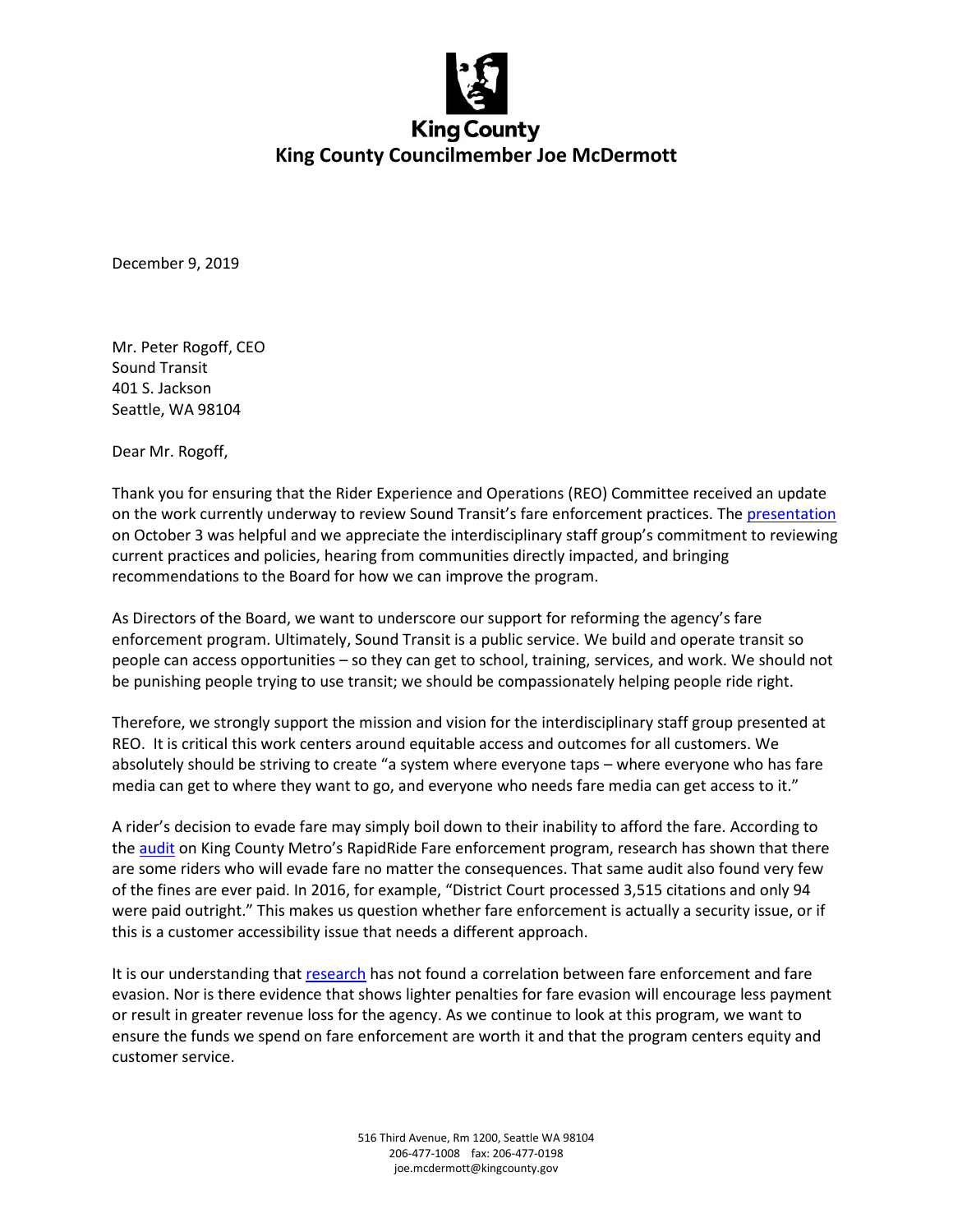

December 9, 2019

Mr. Peter Rogoff, CEO Sound Transit 401 S. Jackson Seattle, WA 98104

Dear Mr. Rogoff,

Thank you for ensuring that the Rider Experience and Operations (REO) Committee received an update on the work currently underway to review Sound Transit's fare enforcement practices. The [presentation](https://www.soundtransit.org/st_sharepoint/download/sites/PRDA/FinalRecords/2019/Presentation%20-%20Fare%20Enforcement%20Procedure%20Updates%20191003.pdf) on October 3 was helpful and we appreciate the interdisciplinary staff group's commitment to reviewing current practices and policies, hearing from communities directly impacted, and bringing recommendations to the Board for how we can improve the program.

As Directors of the Board, we want to underscore our support for reforming the agency's fare enforcement program. Ultimately, Sound Transit is a public service. We build and operate transit so people can access opportunities – so they can get to school, training, services, and work. We should not be punishing people trying to use transit; we should be compassionately helping people ride right.

Therefore, we strongly support the mission and vision for the interdisciplinary staff group presented at REO. It is critical this work centers around equitable access and outcomes for all customers. We absolutely should be striving to create "a system where everyone taps – where everyone who has fare media can get to where they want to go, and everyone who needs fare media can get access to it."

A rider's decision to evade fare may simply boil down to their inability to afford the fare. According to th[e audit](https://www.kingcounty.gov/depts/auditor/auditor-reports/all-landing-pgs/2018/rapidride-2018.aspx) on King County Metro's RapidRide Fare enforcement program, research has shown that there are some riders who will evade fare no matter the consequences. That same audit also found very few of the fines are ever paid. In 2016, for example, "District Court processed 3,515 citations and only 94 were paid outright." This makes us question whether fare enforcement is actually a security issue, or if this is a customer accessibility issue that needs a different approach.

It is our understanding tha[t research](https://transitcenter.org/why-decriminalize-fare-evasion/) has not found a correlation between fare enforcement and fare evasion. Nor is there evidence that shows lighter penalties for fare evasion will encourage less payment or result in greater revenue loss for the agency. As we continue to look at this program, we want to ensure the funds we spend on fare enforcement are worth it and that the program centers equity and customer service.

> 516 Third Avenue, Rm 1200, Seattle WA 98104 206-477-1008 fax: 206-477-0198 joe.mcdermott@kingcounty.gov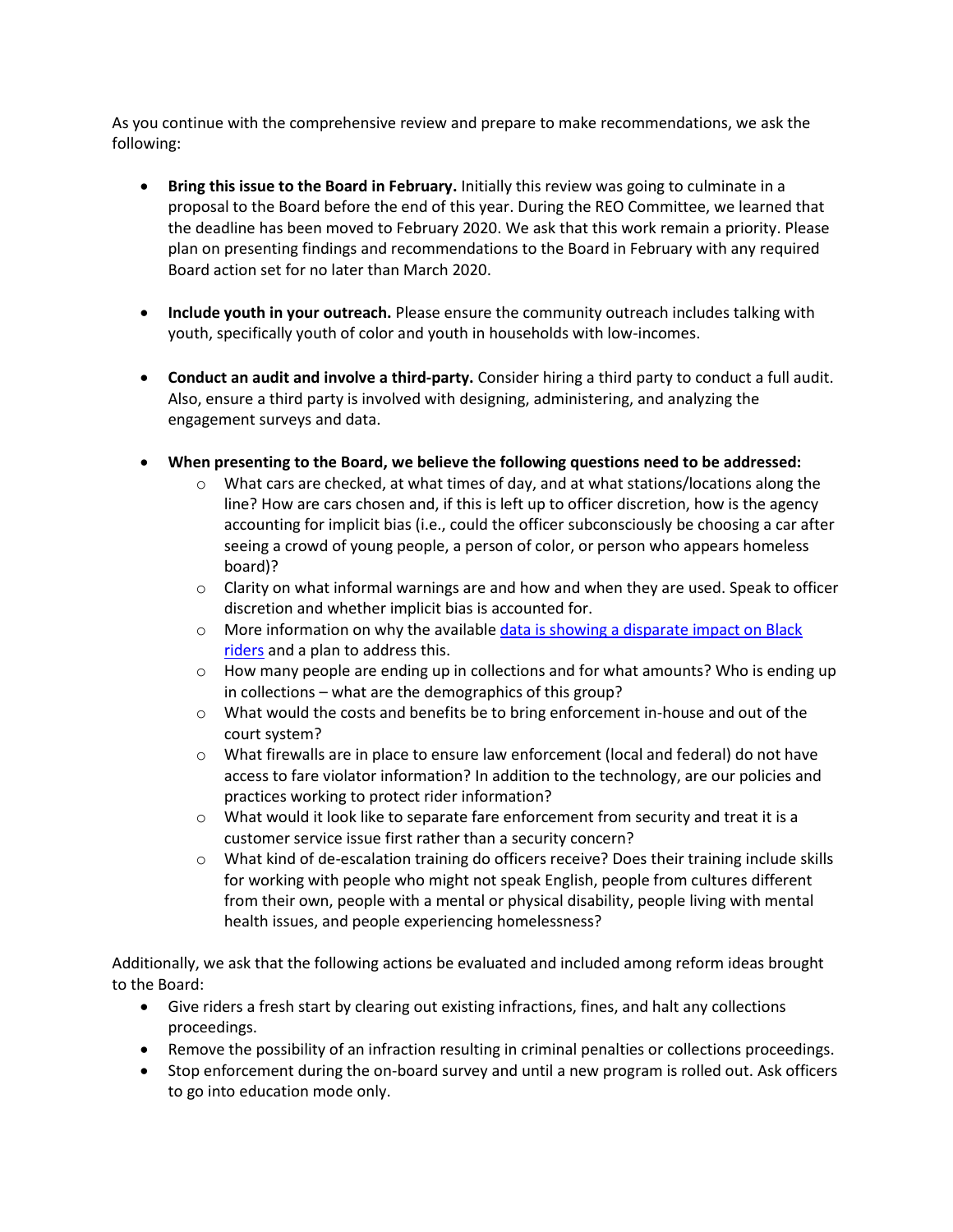As you continue with the comprehensive review and prepare to make recommendations, we ask the following:

- **Bring this issue to the Board in February.** Initially this review was going to culminate in a proposal to the Board before the end of this year. During the REO Committee, we learned that the deadline has been moved to February 2020. We ask that this work remain a priority. Please plan on presenting findings and recommendations to the Board in February with any required Board action set for no later than March 2020.
- **Include youth in your outreach.** Please ensure the community outreach includes talking with youth, specifically youth of color and youth in households with low-incomes.
- **Conduct an audit and involve a third-party.** Consider hiring a third party to conduct a full audit. Also, ensure a third party is involved with designing, administering, and analyzing the engagement surveys and data.
- **When presenting to the Board, we believe the following questions need to be addressed:** 
	- $\circ$  What cars are checked, at what times of day, and at what stations/locations along the line? How are cars chosen and, if this is left up to officer discretion, how is the agency accounting for implicit bias (i.e., could the officer subconsciously be choosing a car after seeing a crowd of young people, a person of color, or person who appears homeless board)?
	- $\circ$  Clarity on what informal warnings are and how and when they are used. Speak to officer discretion and whether implicit bias is accounted for.
	- $\circ$  More information on why the available data is showing a disparate impact on Black [riders](https://www.seattletimes.com/seattle-news/transportation/faced-with-racial-disparities-sound-transit-debates-changes-to-fare-enforcement/) and a plan to address this.
	- $\circ$  How many people are ending up in collections and for what amounts? Who is ending up in collections – what are the demographics of this group?
	- $\circ$  What would the costs and benefits be to bring enforcement in-house and out of the court system?
	- $\circ$  What firewalls are in place to ensure law enforcement (local and federal) do not have access to fare violator information? In addition to the technology, are our policies and practices working to protect rider information?
	- $\circ$  What would it look like to separate fare enforcement from security and treat it is a customer service issue first rather than a security concern?
	- o What kind of de-escalation training do officers receive? Does their training include skills for working with people who might not speak English, people from cultures different from their own, people with a mental or physical disability, people living with mental health issues, and people experiencing homelessness?

Additionally, we ask that the following actions be evaluated and included among reform ideas brought to the Board:

- Give riders a fresh start by clearing out existing infractions, fines, and halt any collections proceedings.
- Remove the possibility of an infraction resulting in criminal penalties or collections proceedings.
- Stop enforcement during the on-board survey and until a new program is rolled out. Ask officers to go into education mode only.